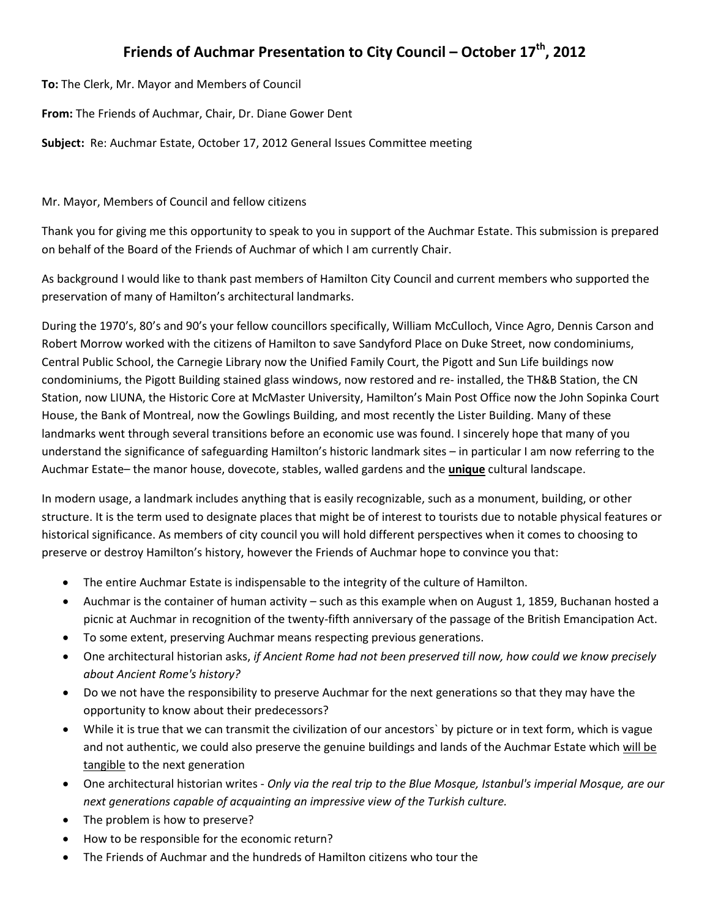# **Friends of Auchmar Presentation to City Council – October 17th, 2012**

**To:** The Clerk, Mr. Mayor and Members of Council

**From:** The Friends of Auchmar, Chair, Dr. Diane Gower Dent

**Subject:** Re: Auchmar Estate, October 17, 2012 General Issues Committee meeting

Mr. Mayor, Members of Council and fellow citizens

Thank you for giving me this opportunity to speak to you in support of the Auchmar Estate. This submission is prepared on behalf of the Board of the Friends of Auchmar of which I am currently Chair.

As background I would like to thank past members of Hamilton City Council and current members who supported the preservation of many of Hamilton's architectural landmarks.

During the 1970's, 80's and 90's your fellow councillors specifically, William McCulloch, Vince Agro, Dennis Carson and Robert Morrow worked with the citizens of Hamilton to save Sandyford Place on Duke Street, now condominiums, Central Public School, the Carnegie Library now the Unified Family Court, the Pigott and Sun Life buildings now condominiums, the Pigott Building stained glass windows, now restored and re- installed, the TH&B Station, the CN Station, now LIUNA, the Historic Core at McMaster University, Hamilton's Main Post Office now the John Sopinka Court House, the Bank of Montreal, now the Gowlings Building, and most recently the Lister Building. Many of these landmarks went through several transitions before an economic use was found. I sincerely hope that many of you understand the significance of safeguarding Hamilton's historic landmark sites – in particular I am now referring to the Auchmar Estate– the manor house, dovecote, stables, walled gardens and the **unique** cultural landscape.

In modern usage, a landmark includes anything that is easily recognizable, such as a monument, building, or other structure. It is the term used to designate places that might be of interest to tourists due to notable physical features or historical significance. As members of city council you will hold different perspectives when it comes to choosing to preserve or destroy Hamilton's history, however the Friends of Auchmar hope to convince you that:

- The entire Auchmar Estate is indispensable to the integrity of the culture of Hamilton.
- Auchmar is the container of human activity such as this example when on August 1, 1859, Buchanan hosted a picnic at Auchmar in recognition of the twenty-fifth anniversary of the passage of the British Emancipation Act.
- To some extent, preserving Auchmar means respecting previous generations.
- One architectural historian asks, *if Ancient Rome had not been preserved till now, how could we know precisely about Ancient Rome's history?*
- Do we not have the responsibility to preserve Auchmar for the next generations so that they may have the opportunity to know about their predecessors?
- While it is true that we can transmit the civilization of our ancestors` by picture or in text form, which is vague and not authentic, we could also preserve the genuine buildings and lands of the Auchmar Estate which will be tangible to the next generation
- One architectural historian writes *Only via the real trip to the Blue Mosque, Istanbul's imperial Mosque, are our next generations capable of acquainting an impressive view of the Turkish culture.*
- The problem is how to preserve?
- How to be responsible for the economic return?
- The Friends of Auchmar and the hundreds of Hamilton citizens who tour the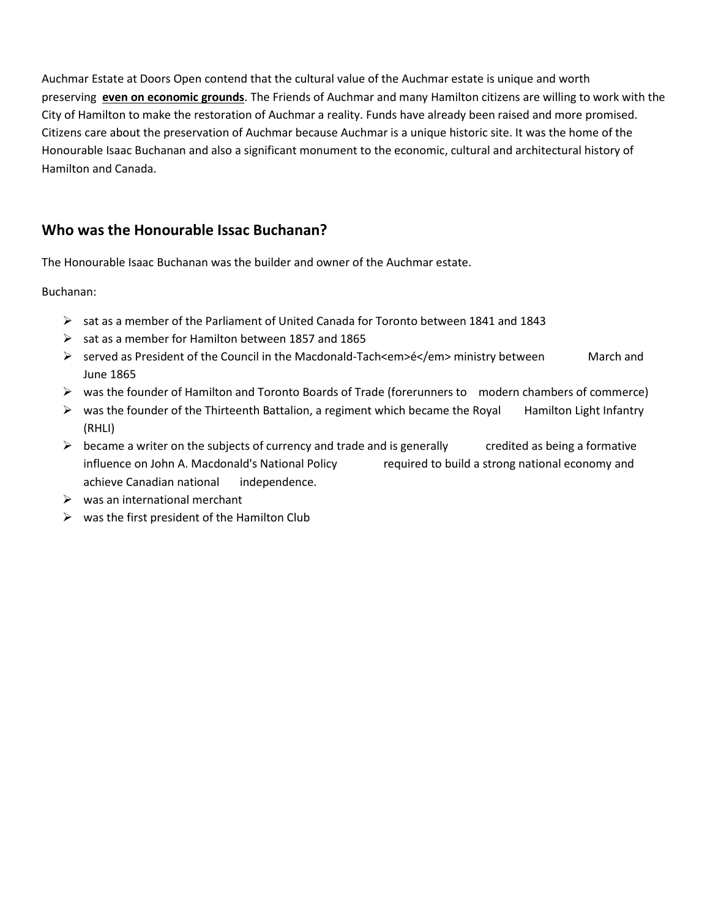Auchmar Estate at Doors Open contend that the cultural value of the Auchmar estate is unique and worth preserving **even on economic grounds**. The Friends of Auchmar and many Hamilton citizens are willing to work with the City of Hamilton to make the restoration of Auchmar a reality. Funds have already been raised and more promised. Citizens care about the preservation of Auchmar because Auchmar is a unique historic site. It was the home of the Honourable Isaac Buchanan and also a significant monument to the economic, cultural and architectural history of Hamilton and Canada.

#### **Who was the Honourable Issac Buchanan?**

The Honourable Isaac Buchanan was the builder and owner of the Auchmar estate.

Buchanan:

- $\triangleright$  sat as a member of the Parliament of United Canada for Toronto between 1841 and 1843
- $\triangleright$  sat as a member for Hamilton between 1857 and 1865
- served as President of the Council in the Macdonald-Tach<em>é</em> ministry between March and June 1865
- $\triangleright$  was the founder of Hamilton and Toronto Boards of Trade (forerunners to modern chambers of commerce)
- $\triangleright$  was the founder of the Thirteenth Battalion, a regiment which became the Royal Hamilton Light Infantry (RHLI)
- $\triangleright$  became a writer on the subjects of currency and trade and is generally credited as being a formative influence on John A. Macdonald's National Policy required to build a strong national economy and achieve Canadian national independence.
- $\triangleright$  was an international merchant
- $\triangleright$  was the first president of the Hamilton Club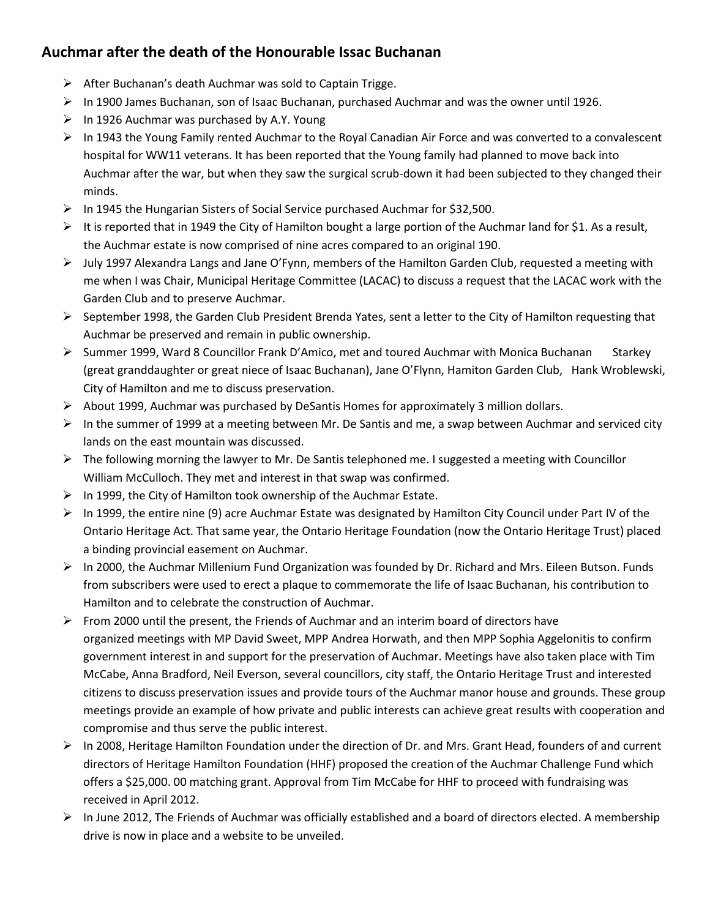# **Auchmar after the death of the Honourable Issac Buchanan**

- $\triangleright$  After Buchanan's death Auchmar was sold to Captain Trigge.
- $\triangleright$  In 1900 James Buchanan, son of Isaac Buchanan, purchased Auchmar and was the owner until 1926.
- $\triangleright$  In 1926 Auchmar was purchased by A.Y. Young
- $\triangleright$  In 1943 the Young Family rented Auchmar to the Royal Canadian Air Force and was converted to a convalescent hospital for WW11 veterans. It has been reported that the Young family had planned to move back into Auchmar after the war, but when they saw the surgical scrub-down it had been subjected to they changed their minds.
- $\triangleright$  In 1945 the Hungarian Sisters of Social Service purchased Auchmar for \$32,500.
- It is reported that in 1949 the City of Hamilton bought a large portion of the Auchmar land for \$1. As a result, the Auchmar estate is now comprised of nine acres compared to an original 190.
- $\triangleright$  July 1997 Alexandra Langs and Jane O'Fynn, members of the Hamilton Garden Club, requested a meeting with me when I was Chair, Municipal Heritage Committee (LACAC) to discuss a request that the LACAC work with the Garden Club and to preserve Auchmar.
- $\triangleright$  September 1998, the Garden Club President Brenda Yates, sent a letter to the City of Hamilton requesting that Auchmar be preserved and remain in public ownership.
- $\triangleright$  Summer 1999, Ward 8 Councillor Frank D'Amico, met and toured Auchmar with Monica Buchanan Starkey (great granddaughter or great niece of Isaac Buchanan), Jane O'Flynn, Hamiton Garden Club, Hank Wroblewski, City of Hamilton and me to discuss preservation.
- $\triangleright$  About 1999, Auchmar was purchased by DeSantis Homes for approximately 3 million dollars.
- $\triangleright$  In the summer of 1999 at a meeting between Mr. De Santis and me, a swap between Auchmar and serviced city lands on the east mountain was discussed.
- $\triangleright$  The following morning the lawyer to Mr. De Santis telephoned me. I suggested a meeting with Councillor William McCulloch. They met and interest in that swap was confirmed.
- $\triangleright$  In 1999, the City of Hamilton took ownership of the Auchmar Estate.
- $\triangleright$  In 1999, the entire nine (9) acre Auchmar Estate was designated by Hamilton City Council under Part IV of the Ontario Heritage Act. That same year, the Ontario Heritage Foundation (now the Ontario Heritage Trust) placed a binding provincial easement on Auchmar.
- ▶ In 2000, the Auchmar Millenium Fund Organization was founded by Dr. Richard and Mrs. Eileen Butson. Funds from subscribers were used to erect a plaque to commemorate the life of Isaac Buchanan, his contribution to Hamilton and to celebrate the construction of Auchmar.
- $\triangleright$  From 2000 until the present, the Friends of Auchmar and an interim board of directors have organized meetings with MP David Sweet, MPP Andrea Horwath, and then MPP Sophia Aggelonitis to confirm government interest in and support for the preservation of Auchmar. Meetings have also taken place with Tim McCabe, Anna Bradford, Neil Everson, several councillors, city staff, the Ontario Heritage Trust and interested citizens to discuss preservation issues and provide tours of the Auchmar manor house and grounds. These group meetings provide an example of how private and public interests can achieve great results with cooperation and compromise and thus serve the public interest.
- $\triangleright$  In 2008, Heritage Hamilton Foundation under the direction of Dr. and Mrs. Grant Head, founders of and current directors of Heritage Hamilton Foundation (HHF) proposed the creation of the Auchmar Challenge Fund which offers a \$25,000. 00 matching grant. Approval from Tim McCabe for HHF to proceed with fundraising was received in April 2012.
- $\triangleright$  In June 2012, The Friends of Auchmar was officially established and a board of directors elected. A membership drive is now in place and a website to be unveiled.